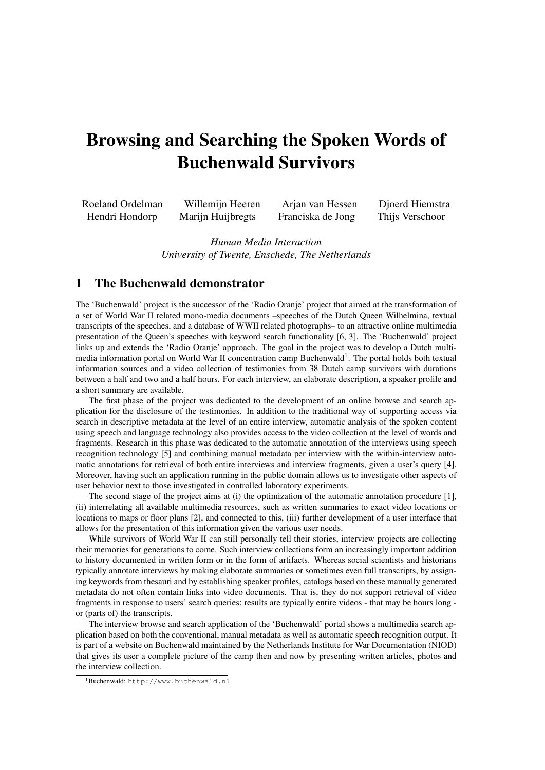## Browsing and Searching the Spoken Words of Buchenwald Survivors

| Roeland Ordelman | Willemijn Heeren  | Arjan van Hessen  | Djoerd Hiemstra |
|------------------|-------------------|-------------------|-----------------|
| Hendri Hondorp   | Marijn Huijbregts | Franciska de Jong | Thijs Verschoor |

Human Media Interaction University of Twente, Enschede, The Netherlands

## 1 The Buchenwald demonstrator

The 'Buchenwald' project is the successor of the 'Radio Oranje' project that aimed at the transformation of a set of World War II related mono-media documents –speeches of the Dutch Queen Wilhelmina, textual transcripts of the speeches, and a database of WWII related photographs– to an attractive online multimedia presentation of the Queen's speeches with keyword search functionality [6, 3]. The 'Buchenwald' project links up and extends the 'Radio Oranje' approach. The goal in the project was to develop a Dutch multimedia information portal on World War II concentration camp Buchenwald<sup>1</sup>. The portal holds both textual information sources and a video collection of testimonies from 38 Dutch camp survivors with durations between a half and two and a half hours. For each interview, an elaborate description, a speaker profile and a short summary are available.

The first phase of the project was dedicated to the development of an online browse and search application for the disclosure of the testimonies. In addition to the traditional way of supporting access via search in descriptive metadata at the level of an entire interview, automatic analysis of the spoken content using speech and language technology also provides access to the video collection at the level of words and fragments. Research in this phase was dedicated to the automatic annotation of the interviews using speech recognition technology [5] and combining manual metadata per interview with the within-interview automatic annotations for retrieval of both entire interviews and interview fragments, given a user's query [4]. Moreover, having such an application running in the public domain allows us to investigate other aspects of user behavior next to those investigated in controlled laboratory experiments.

The second stage of the project aims at (i) the optimization of the automatic annotation procedure [1], (ii) interrelating all available multimedia resources, such as written summaries to exact video locations or locations to maps or floor plans [2], and connected to this, (iii) further development of a user interface that allows for the presentation of this information given the various user needs.

While survivors of World War II can still personally tell their stories, interview projects are collecting their memories for generations to come. Such interview collections form an increasingly important addition to history documented in written form or in the form of artifacts. Whereas social scientists and historians typically annotate interviews by making elaborate summaries or sometimes even full transcripts, by assigning keywords from thesauri and by establishing speaker profiles, catalogs based on these manually generated metadata do not often contain links into video documents. That is, they do not support retrieval of video fragments in response to users' search queries; results are typically entire videos - that may be hours long or (parts of) the transcripts.

The interview browse and search application of the 'Buchenwald' portal shows a multimedia search application based on both the conventional, manual metadata as well as automatic speech recognition output. It is part of a website on Buchenwald maintained by the Netherlands Institute for War Documentation (NIOD) that gives its user a complete picture of the camp then and now by presenting written articles, photos and the interview collection.

<sup>1</sup>Buchenwald: http://www.buchenwald.nl